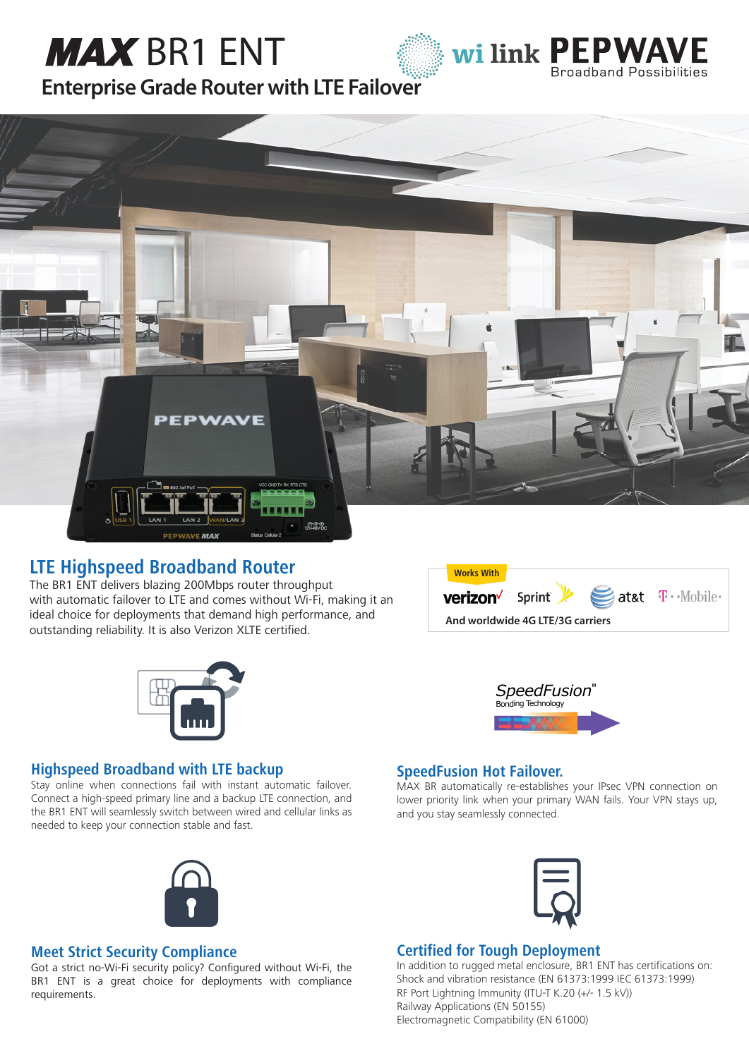# **MAX** BR1 ENT





**[Enterprise Grade Router with LTE Failover](http://wilink.pl/)**



## **LTE Highspeed Broadband Router**

The BR1 ENT delivers blazing 200Mbps router throughput with automatic failover to LTE and comes without Wi-Fi, making it an ideal choice for deployments that demand high performance, and outstanding reliability. It is also Verizon XLTE certified.







## **Highspeed Broadband with LTE backup**

Stay online when connections fail with instant automatic failover. Connect a high-speed primary line and a backup LTE connection, and the BR1 ENT will seamlessly switch between wired and cellular links as needed to keep your connection stable and fast.



# **SpeedFusion Hot Failover.**

MAX BR automatically re-establishes your IPsec VPN connection on lower priority link when your primary WAN fails. Your VPN stays up, and you stay seamlessly connected.



## **Meet Strict Security Compliance**

Got a strict no-Wi-Fi security policy? Configured without Wi-Fi, the BR1 ENT is a great choice for deployments with compliance requirements.



## **Certified for Tough Deployment**

In addition to rugged metal enclosure, BR1 ENT has certifications on: Shock and vibration resistance (EN 61373:1999 IEC 61373:1999) RF Port Lightning Immunity (ITU-T K.20 (+/- 1.5 kV)) Railway Applications (EN 50155) Electromagnetic Compatibility (EN 61000)